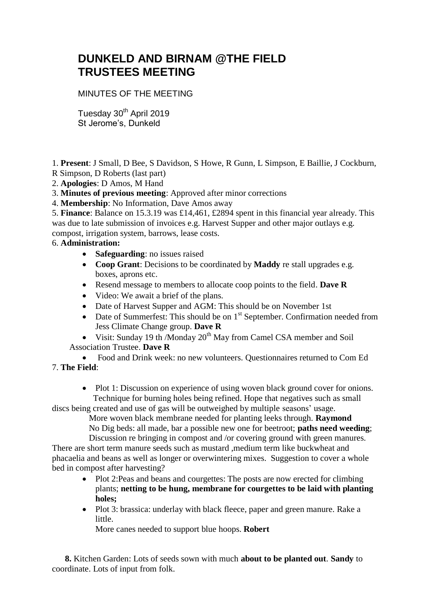## **DUNKELD AND BIRNAM @THE FIELD TRUSTEES MEETING**

MINUTES OF THE MEETING

Tuesday 30<sup>th</sup> April 2019 St Jerome's, Dunkeld

1. **Present**: J Small, D Bee, S Davidson, S Howe, R Gunn, L Simpson, E Baillie, J Cockburn,

- R Simpson, D Roberts (last part)
- 2. **Apologies**: D Amos, M Hand
- 3. **Minutes of previous meeting**: Approved after minor corrections
- 4. **Membership**: No Information, Dave Amos away

5. **Finance**: Balance on 15.3.19 was £14,461, £2894 spent in this financial year already. This was due to late submission of invoices e.g. Harvest Supper and other major outlays e.g. compost, irrigation system, barrows, lease costs.

## 6. **Administration:**

- **Safeguarding**: no issues raised
- **Coop Grant**: Decisions to be coordinated by **Maddy** re stall upgrades e.g. boxes, aprons etc.
- Resend message to members to allocate coop points to the field. **Dave R**
- Video: We await a brief of the plans.
- Date of Harvest Supper and AGM: This should be on November 1st
- Date of Summerfest: This should be on  $1<sup>st</sup>$  September. Confirmation needed from Jess Climate Change group. **Dave R**
- Visit: Sunday 19 th /Monday  $20^{th}$  May from Camel CSA member and Soil Association Trustee. **Dave R**

 Food and Drink week: no new volunteers. Questionnaires returned to Com Ed 7. **The Field**:

• Plot 1: Discussion on experience of using woven black ground cover for onions. Technique for burning holes being refined. Hope that negatives such as small

discs being created and use of gas will be outweighed by multiple seasons' usage.

 More woven black membrane needed for planting leeks through. **Raymond** No Dig beds: all made, bar a possible new one for beetroot; **paths need weeding**; Discussion re bringing in compost and /or covering ground with green manures.

There are short term manure seeds such as mustard ,medium term like buckwheat and phacaelia and beans as well as longer or overwintering mixes. Suggestion to cover a whole bed in compost after harvesting?

- Plot 2:Peas and beans and courgettes: The posts are now erected for climbing plants; **netting to be hung, membrane for courgettes to be laid with planting holes;**
- Plot 3: brassica: underlay with black fleece, paper and green manure. Rake a little.

More canes needed to support blue hoops. **Robert**

 **8.** Kitchen Garden: Lots of seeds sown with much **about to be planted out**. **Sandy** to coordinate. Lots of input from folk.